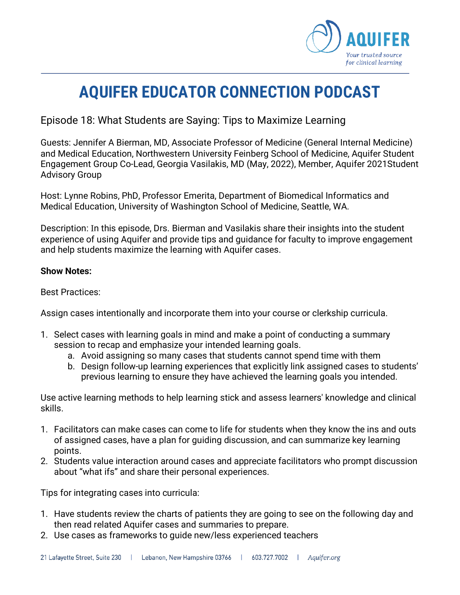

## **AQUIFER EDUCATOR CONNECTION PODCAST**

Episode 18: What Students are Saying: Tips to Maximize Learning

Guests: Jennifer A Bierman, MD, Associate Professor of Medicine (General Internal Medicine) and Medical Education, Northwestern University Feinberg School of Medicine, Aquifer Student Engagement Group Co-Lead, Georgia Vasilakis, MD (May, 2022), Member, Aquifer 2021Student Advisory Group

Host: Lynne Robins, PhD, Professor Emerita, Department of Biomedical Informatics and Medical Education, University of Washington School of Medicine, Seattle, WA.

Description: In this episode, Drs. Bierman and Vasilakis share their insights into the student experience of using Aquifer and provide tips and guidance for faculty to improve engagement and help students maximize the learning with Aquifer cases.

## **Show Notes:**

Best Practices:

Assign cases intentionally and incorporate them into your course or clerkship curricula.

- 1. Select cases with learning goals in mind and make a point of conducting a summary session to recap and emphasize your intended learning goals.
	- a. Avoid assigning so many cases that students cannot spend time with them
	- b. Design follow-up learning experiences that explicitly link assigned cases to students' previous learning to ensure they have achieved the learning goals you intended.

Use active learning methods to help learning stick and assess learners' knowledge and clinical skills.

- 1. Facilitators can make cases can come to life for students when they know the ins and outs of assigned cases, have a plan for guiding discussion, and can summarize key learning points.
- 2. Students value interaction around cases and appreciate facilitators who prompt discussion about "what ifs" and share their personal experiences.

Tips for integrating cases into curricula:

- 1. Have students review the charts of patients they are going to see on the following day and then read related Aquifer cases and summaries to prepare.
- 2. Use cases as frameworks to guide new/less experienced teachers